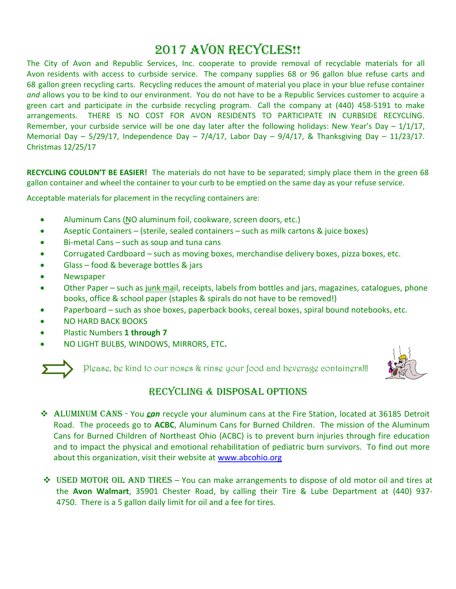# 2017 AVON RECYCLES!!

The City of Avon and Republic Services, Inc. cooperate to provide removal of recyclable materials for all Avon residents with access to curbside service. The company supplies 68 or 96 gallon blue refuse carts and 68 gallon green recycling carts. Recycling reduces the amount of material you place in your blue refuse container *and* allows you to be kind to our environment. You do not have to be a Republic Services customer to acquire a green cart and participate in the curbside recycling program. Call the company at (440) 458-5191 to make arrangements. THERE IS NO COST FOR AVON RESIDENTS TO PARTICIPATE IN CURBSIDE RECYCLING. Remember, your curbside service will be one day later after the following holidays: New Year's Day  $-1/1/17$ , Memorial Day -  $5/29/17$ , Independence Day -  $7/4/17$ , Labor Day -  $9/4/17$ , & Thanksgiving Day -  $11/23/17$ . Christmas 12/25/17

**RECYCLING COULDN'T BE EASIER!** The materials do not have to be separated; simply place them in the green 68 gallon container and wheel the container to your curb to be emptied on the same day as your refuse service.

Acceptable materials for placement in the recycling containers are:

- Aluminum Cans (NO aluminum foil, cookware, screen doors, etc.)
- Aseptic Containers (sterile, sealed containers such as milk cartons & juice boxes)
- Bi-metal Cans such as soup and tuna cans
- Corrugated Cardboard such as moving boxes, merchandise delivery boxes, pizza boxes, etc.
- Glass food & beverage bottles & jars
- Newspaper
- Other Paper such as junk mail, receipts, labels from bottles and jars, magazines, catalogues, phone books, office & school paper (staples & spirals do not have to be removed!)
- Paperboard such as shoe boxes, paperback books, cereal boxes, spiral bound notebooks, etc.
- NO HARD BACK BOOKS
- Plastic Numbers **1 through 7**
- NO LIGHT BULBS, WINDOWS, MIRRORS, ETC**.**



Please, be kind to our noses & rinse your food and beverage containers!!!



## RECYCLING & disposal OPTIONS

- Aluminum cans You *can* recycle your aluminum cans at the Fire Station, located at 36185 Detroit Road. The proceeds go to **ACBC**, Aluminum Cans for Burned Children. The mission of the Aluminum Cans for Burned Children of Northeast Ohio (ACBC) is to prevent burn injuries through fire education and to impact the physical and emotional rehabilitation of pediatric burn survivors. To find out more about this organization, visit their website at [www.abcohio.org](http://www.abcohio.org/)
- $\div$  USED MOTOR OIL AND TIRES You can make arrangements to dispose of old motor oil and tires at the **Avon Walmart**, 35901 Chester Road, by calling their Tire & Lube Department at (440) 937- 4750. There is a 5 gallon daily limit for oil and a fee for tires.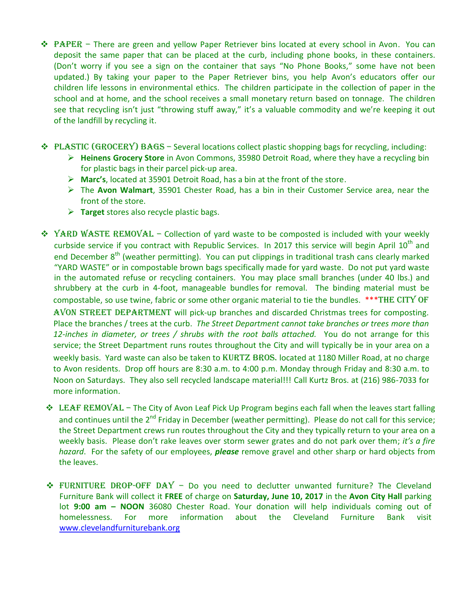- ◆ PAPER There are green and yellow Paper Retriever bins located at every school in Avon. You can deposit the same paper that can be placed at the curb, including phone books, in these containers. (Don't worry if you see a sign on the container that says "No Phone Books," some have not been updated.) By taking your paper to the Paper Retriever bins, you help Avon's educators offer our children life lessons in environmental ethics. The children participate in the collection of paper in the school and at home, and the school receives a small monetary return based on tonnage. The children see that recycling isn't just "throwing stuff away," it's a valuable commodity and we're keeping it out of the landfill by recycling it.
- $\triangleleft$  PLASTIC (GROCERY) BAGS Several locations collect plastic shopping bags for recycling, including:
	- **Heinens Grocery Store** in Avon Commons, 35980 Detroit Road, where they have a recycling bin for plastic bags in their parcel pick-up area.
	- **Marc's**, located at 35901 Detroit Road, has a bin at the front of the store.
	- The **Avon Walmart**, 35901 Chester Road, has a bin in their Customer Service area, near the front of the store.
	- **Target** stores also recycle plastic bags.
- $\div$  YARD WASTE REMOVAL Collection of yard waste to be composted is included with your weekly curbside service if you contract with Republic Services. In 2017 this service will begin April  $10^{\text{th}}$  and end December 8<sup>th</sup> (weather permitting). You can put clippings in traditional trash cans clearly marked "YARD WASTE" or in compostable brown bags specifically made for yard waste. Do not put yard waste in the automated refuse or recycling containers. You may place small branches (under 40 lbs.) and shrubbery at the curb in 4-foot, manageable bundles for removal. The binding material must be compostable, so use twine, fabric or some other organic material to tie the bundles. \*\*\* THE CITY OF AVON STREET DEPARTMENT will pick-up branches and discarded Christmas trees for composting. Place the branches / trees at the curb. *The Street Department cannot take branches or trees more than 12-inches in diameter, or trees / shrubs with the root balls attached.* You do not arrange for this service; the Street Department runs routes throughout the City and will typically be in your area on a weekly basis. Yard waste can also be taken to KURTZ BROS. located at 1180 Miller Road, at no charge to Avon residents. Drop off hours are 8:30 a.m. to 4:00 p.m. Monday through Friday and 8:30 a.m. to Noon on Saturdays. They also sell recycled landscape material!!! Call Kurtz Bros. at (216) 986-7033 for more information.
	- **₺ LEAF REMOVAL** The City of Avon Leaf Pick Up Program begins each fall when the leaves start falling and continues until the 2<sup>nd</sup> Friday in December (weather permitting). Please do not call for this service; the Street Department crews run routes throughout the City and they typically return to your area on a weekly basis. Please don't rake leaves over storm sewer grates and do not park over them; *it's a fire hazard*. For the safety of our employees, *please* remove gravel and other sharp or hard objects from the leaves.
	- $\div$  FURNITURE DROP-OFF DAY Do you need to declutter unwanted furniture? The Cleveland Furniture Bank will collect it **FREE** of charge on **Saturday, June 10, 2017** in the **Avon City Hall** parking lot **9:00 am – NOON** 36080 Chester Road. Your donation will help individuals coming out of homelessness. For more information about the Cleveland Furniture Bank visit [www.clevelandfurniturebank.org](http://www.clevelandfurniturebank.org/)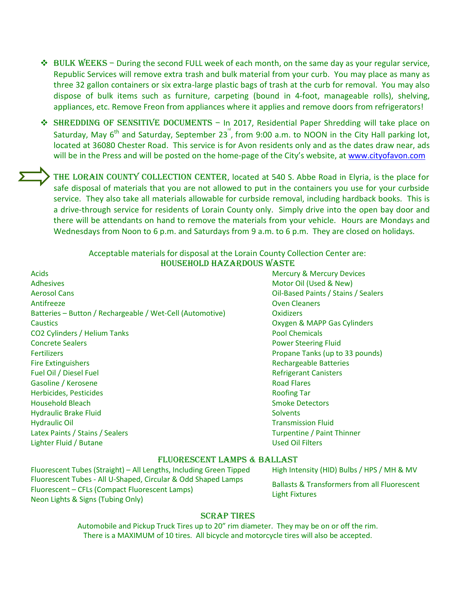- $\div$  BULK WEEKS During the second FULL week of each month, on the same day as your regular service, Republic Services will remove extra trash and bulk material from your curb. You may place as many as three 32 gallon containers or six extra-large plastic bags of trash at the curb for removal. You may also dispose of bulk items such as furniture, carpeting (bound in 4-foot, manageable rolls), shelving, appliances, etc. Remove Freon from appliances where it applies and remove doors from refrigerators!
- ◆ SHREDDING OF SENSITIVE DOCUMENTS In 2017, Residential Paper Shredding will take place on Saturday, May 6<sup>th</sup> and Saturday, September 23<sup>"</sup>, from 9:00 a.m. to NOON in the City Hall parking lot, located at 36080 Chester Road. This service is for Avon residents only and as the dates draw near, ads will be in the Press and will be posted on the home-page of the City's website, a[t www.cityofavon.com](http://www.cityofavon.com/)

THE LORAIN COUNTY COLLECTION CENTER, located at 540 S. Abbe Road in Elyria, is the place for safe disposal of materials that you are not allowed to put in the containers you use for your curbside service. They also take all materials allowable for curbside removal, including hardback books. This is a drive-through service for residents of Lorain County only. Simply drive into the open bay door and there will be attendants on hand to remove the materials from your vehicle. Hours are Mondays and Wednesdays from Noon to 6 p.m. and Saturdays from 9 a.m. to 6 p.m. They are closed on holidays.

| Acceptable materials for disposal at the Lorain County Collection Center are: |
|-------------------------------------------------------------------------------|
| <b>HOUSEHOLD HAZARDOUS WASTE</b>                                              |

- Acids **Acidemy** Active Active Mercury & Mercury Devices **Mercury & Mercury Devices** Adhesives and the contract of the contract of the contract of the Motor Oil (Used & New) Aerosol Cans Oil-Based Paints / Stains / Sealers Antifreeze **Over Cleaners** Oven Cleaners **Contract Cleaners** Batteries – Button / Rechargeable / Wet-Cell (Automotive) Oxidizers Caustics Oxygen & MAPP Gas Cylinders CO2 Cylinders / Helium Tanks Pool Chemicals **Concrete Sealers Power Steering Fluid** Fertilizers Propane Tanks (up to 33 pounds) Fire Extinguishers **Rechargeable Batteries** Rechargeable Batteries Fuel Oil / Diesel Fuel Refrigerant Canisters Gasoline / Kerosene **Road Flares** Road Flares **Road Flares Herbicides, Pesticides** Roofing Tar **Household Bleach Smoke Detectors** Smoke Detectors Hydraulic Brake Fluid Solvents and Solvents Solvents Solvents **Hydraulic Oil Transmission Fluid Transmission Fluid** Latex Paints / Stains / Sealers Turpentine / Paint Thinner Lighter Fluid / Butane Used Oil Filters
- 

#### Fluorescent lamps & ballast

Fluorescent Tubes (Straight) – All Lengths, Including Green Tipped High Intensity (HID) Bulbs / HPS / MH & MV Fluorescent Tubes - All U-Shaped, Circular & Odd Shaped Lamps Fluorescent – CFLs (Compact Fluorescent Lamps) Neon Lights & Signs (Tubing Only)

Ballasts & Transformers from all Fluorescent Light Fixtures

#### **SCRAP TIRES**

Automobile and Pickup Truck Tires up to 20" rim diameter. They may be on or off the rim. There is a MAXIMUM of 10 tires. All bicycle and motorcycle tires will also be accepted.